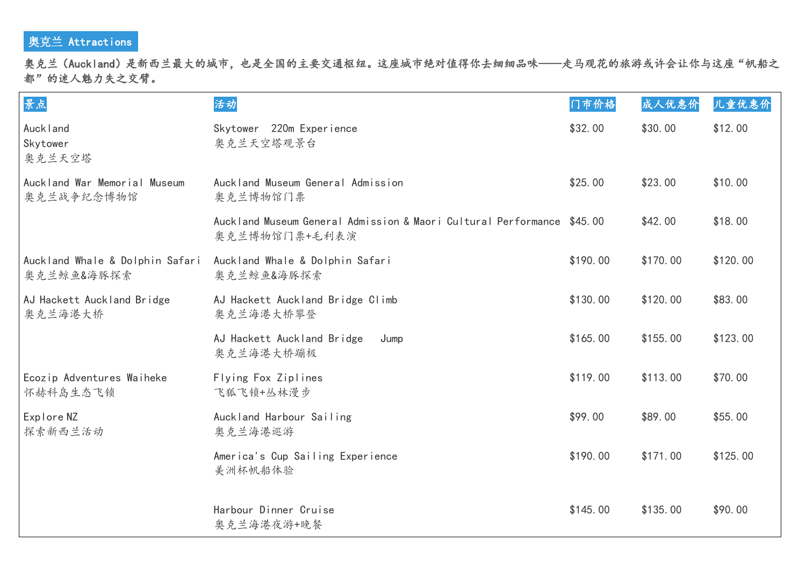## 奥克兰 Attractions

奥克兰(Auckland)是新西兰最大的城市,也是全国的主要交通枢纽。这座城市绝对值得你去细细品味——走马观花的旅游或许会让你与这座"帆船之 都"的迷人魅力失之交臂。

| 景点                                            | 活动                                                                                      | 门市价格     | 成人优惠价    | 儿童优惠价    |
|-----------------------------------------------|-----------------------------------------------------------------------------------------|----------|----------|----------|
| Auckland<br>Skytower<br>奥克兰天空塔                | Skytower 220m Experience<br>奥克兰天空塔观景台                                                   | \$32.00  | \$30.00  | \$12.00  |
| Auckland War Memorial Museum<br>奥克兰战争纪念博物馆    | Auckland Museum General Admission<br>奥克兰博物馆门票                                           | \$25.00  | \$23.00  | \$10.00  |
|                                               | Auckland Museum General Admission & Maori Cultural Performance \$45.00<br>奥克兰博物馆门票+毛利表演 |          | \$42.00  | \$18.00  |
| Auckland Whale & Dolphin Safari<br>奥克兰鲸鱼&海豚探索 | Auckland Whale & Dolphin Safari<br>奥克兰鲸鱼&海豚探索                                           | \$190.00 | \$170.00 | \$120.00 |
| AJ Hackett Auckland Bridge<br>奥克兰海港大桥         | AJ Hackett Auckland Bridge Climb<br>奥克兰海港大桥攀登                                           | \$130.00 | \$120.00 | \$83.00  |
|                                               | AJ Hackett Auckland Bridge<br>Jump<br>奥克兰海港大桥蹦极                                         | \$165.00 | \$155.00 | \$123.00 |
| Ecozip Adventures Waiheke<br>怀赫科岛生态飞锁         | Flying Fox Ziplines<br>飞狐飞锁+丛林漫步                                                        | \$119.00 | \$113.00 | \$70.00  |
| Explore NZ<br>探索新西兰活动                         | Auckland Harbour Sailing<br>奥克兰海港巡游                                                     | \$99.00  | \$89.00  | \$55.00  |
|                                               | America's Cup Sailing Experience<br>美洲杯帆船体验                                             | \$190.00 | \$171.00 | \$125.00 |
|                                               | Harbour Dinner Cruise<br>奥克兰海港夜游+晚餐                                                     | \$145.00 | \$135.00 | \$90.00  |